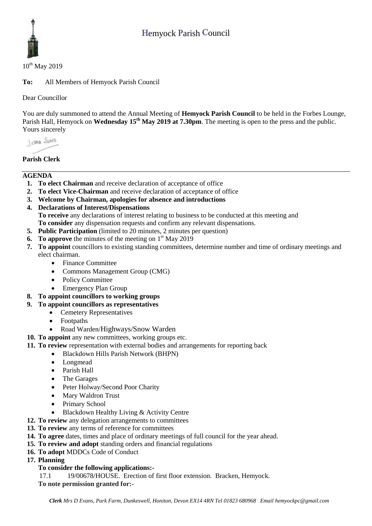# Hemyock Parish Council



 $10^{th}$  May 2019

**To:** All Members of Hemyock Parish Council

Dear Councillor

You are duly summoned to attend the Annual Meeting of **Hemyock Parish Council** to be held in the Forbes Lounge, Parish Hall, Hemyock on **Wednesday 15th May 2019 at 7.30pm**. The meeting is open to the press and the public. Yours sincerely

I awa Shans

# **Parish Clerk**

# **AGENDA**

- **1. To elect Chairman** and receive declaration of acceptance of office
- **2. To elect Vice-Chairman** and receive declaration of acceptance of office
- **3. Welcome by Chairman, apologies for absence and introductions**
- **4. Declarations of Interest/Dispensations To receive** any declarations of interest relating to business to be conducted at this meeting and **To consider** any dispensation requests and confirm any relevant dispensations.
- **5. Public Participation** (limited to 20 minutes, 2 minutes per question)
- **6.** To approve the minutes of the meeting on 1<sup>st</sup> May 2019
- **7. To appoint** councillors to existing standing committees, determine number and time of ordinary meetings and elect chairman.
	- Finance Committee
	- Commons Management Group (CMG)
	- Policy Committee
	- Emergency Plan Group
- **8. To appoint councillors to working groups**
- **9. To appoint councillors as representatives**
	- Cemetery Representatives
	- Footpaths
	- Road Warden/Highways/Snow Warden
- **10. To appoint** any new committees, working groups etc.
- **11. To review** representation with external bodies and arrangements for reporting back
	- Blackdown Hills Parish Network (BHPN)
	- Longmead
	- Parish Hall
	- The Garages
	- Peter Holway/Second Poor Charity
	- Mary Waldron Trust
	- Primary School
	- Blackdown Healthy Living & Activity Centre
- **12. To review** any delegation arrangements to committees
- **13. To review** any terms of reference for committees
- **14. To agree** dates, times and place of ordinary meetings of full council for the year ahead.
- **15. To review and adopt** standing orders and financial regulations
- **16. To adopt** MDDCs Code of Conduct
- **17. Planning**

## **To consider the following applications:-**

17.1 19/00678/HOUSE. Erection of first floor extension. Bracken, Hemyock.

**To note permission granted for:-**